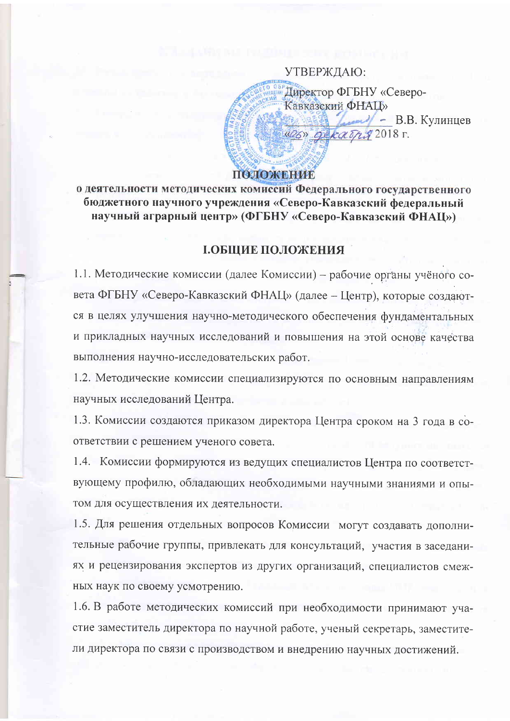УТВЕРЖДАЮ: Директор ФГБНУ «Северо-Кавказский ФНАЦ» - В.В. Кулинцев 426» gekarry 2018 г. ПОЛОЖЕНИЕ

о деятельности методических комиссий Федерального государственного бюджетного научного учреждения «Северо-Кавказский федеральный научный аграрный центр» (ФГБНУ «Северо-Кавказский ФНАЦ»)

### І.ОБЩИЕ ПОЛОЖЕНИЯ

1.1. Методические комиссии (далее Комиссии) - рабочие органы учёного совета ФГБНУ «Северо-Кавказский ФНАЦ» (далее - Центр), которые создаются в целях улучшения научно-методического обеспечения фундаментальных и прикладных научных исследований и повышения на этой основе качества выполнения научно-исследовательских работ.

1.2. Методические комиссии специализируются по основным направлениям научных исследований Центра.

1.3. Комиссии создаются приказом директора Центра сроком на 3 года в соответствии с решением ученого совета.

1.4. Комиссии формируются из ведущих специалистов Центра по соответствующему профилю, обладающих необходимыми научными знаниями и опытом для осуществления их деятельности.

1.5. Для решения отдельных вопросов Комиссии могут создавать дополнительные рабочие группы, привлекать для консультаций, участия в заседаниях и рецензирования экспертов из других организаций, специалистов смежных наук по своему усмотрению.

1.6. В работе методических комиссий при необходимости принимают участие заместитель директора по научной работе, ученый секретарь, заместители директора по связи с производством и внедрению научных достижений.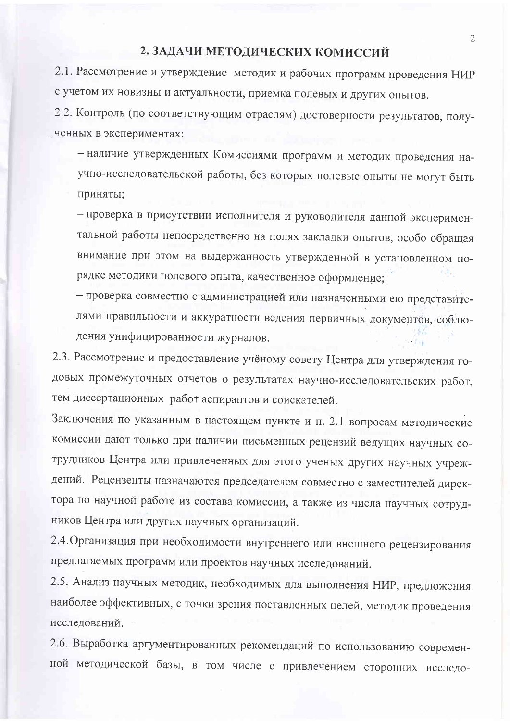### 2. ЗАДАЧИ МЕТОДИЧЕСКИХ КОМИССИЙ

2.1. Рассмотрение и утверждение методик и рабочих программ проведения НИР с учетом их новизны и актуальности, приемка полевых и других опытов.

2.2. Контроль (по соответствующим отраслям) достоверности результатов, полученных в экспериментах:

- наличие утвержденных Комиссиями программ и методик проведения научно-исследовательской работы, без которых полевые опыты не могут быть приняты;

- проверка в присутствии исполнителя и руководителя данной экспериментальной работы непосредственно на полях закладки опытов, особо обращая внимание при этом на выдержанность утвержденной в установленном порядке методики полевого опыта, качественное оформление;

- проверка совместно с администрацией или назначенными ею представителями правильности и аккуратности ведения первичных документов, соблюдения унифицированности журналов.

2.3. Рассмотрение и предоставление учёному совету Центра для утверждения годовых промежуточных отчетов о результатах научно-исследовательских работ, тем диссертационных работ аспирантов и соискателей.

Заключения по указанным в настоящем пункте и п. 2.1 вопросам методические комиссии дают только при наличии письменных рецензий ведущих научных сотрудников Центра или привлеченных для этого ученых других научных учреждений. Рецензенты назначаются председателем совместно с заместителей директора по научной работе из состава комиссии, а также из числа научных сотрудников Центра или других научных организаций.

2.4. Организация при необходимости внутреннего или внешнего рецензирования предлагаемых программ или проектов научных исследований.

2.5. Анализ научных методик, необходимых для выполнения НИР, предложения наиболее эффективных, с точки зрения поставленных целей, методик проведения исследований.

2.6. Выработка аргументированных рекомендаций по использованию современной методической базы, в том числе с привлечением сторонних исследо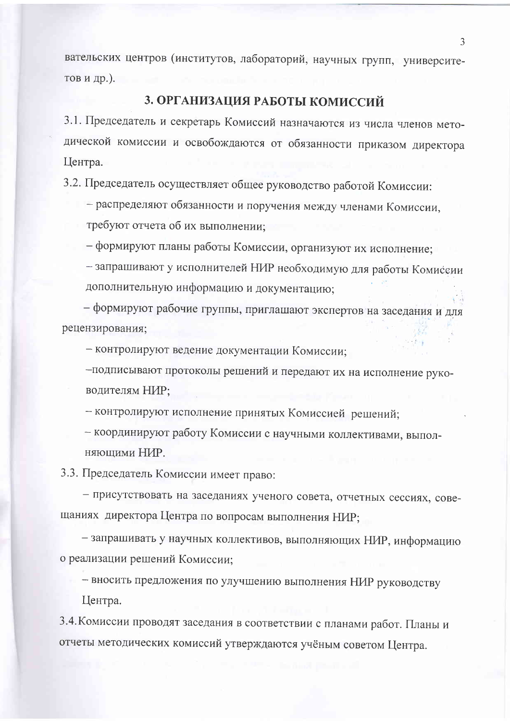вательских центров (институтов, лабораторий, научных групп, университетов и др.).

## 3. ОРГАНИЗАЦИЯ РАБОТЫ КОМИССИЙ

3.1. Председатель и секретарь Комиссий назначаются из числа членов методической комиссии и освобождаются от обязанности приказом директора Центра.

3.2. Председатель осуществляет общее руководство работой Комиссии:

- распределяют обязанности и поручения между членами Комиссии,

требуют отчета об их выполнении;

- формируют планы работы Комиссии, организуют их исполнение;

- запрашивают у исполнителей НИР необходимую для работы Комиссии дополнительную информацию и документацию;

- формируют рабочие группы, приглашают экспертов на заседания и для рецензирования;

- контролируют ведение документации Комиссии;

-подписывают протоколы решений и передают их на исполнение руководителям НИР;

- контролируют исполнение принятых Комиссией решений;

- координируют работу Комиссии с научными коллективами, выполняющими НИР.

3.3. Председатель Комиссии имеет право:

- присутствовать на заседаниях ученого совета, отчетных сессиях, совещаниях директора Центра по вопросам выполнения НИР;

- запрашивать у научных коллективов, выполняющих НИР, информацию о реализации решений Комиссии;

- вносить предложения по улучшению выполнения НИР руководству Центра.

3.4. Комиссии проводят заседания в соответствии с планами работ. Планы и отчеты методических комиссий утверждаются учёным советом Центра.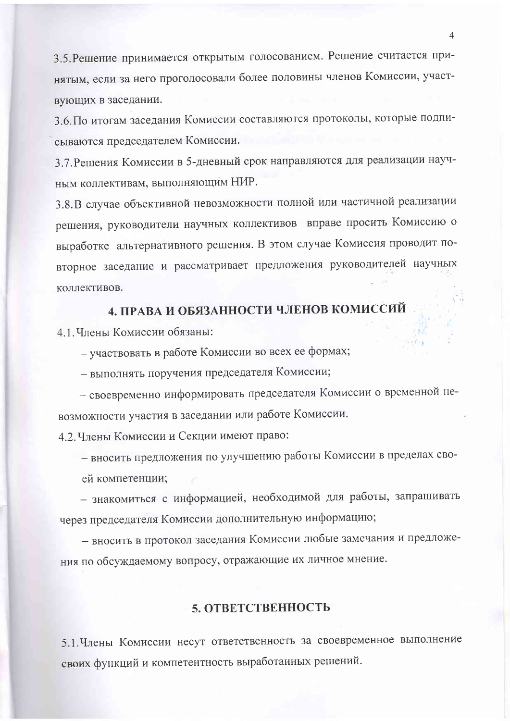3.5. Решение принимается открытым голосованием. Решение считается принятым, если за него проголосовали более половины членов Комиссии, участвующих в заседании.

3.6. По итогам заседания Комиссии составляются протоколы, которые подписываются председателем Комиссии.

3.7. Решения Комиссии в 5-дневный срок направляются для реализации научным коллективам, выполняющим НИР.

3.8.В случае объективной невозможности полной или частичной реализации решения, руководители научных коллективов вправе просить Комиссию о выработке альтернативного решения. В этом случае Комиссия проводит повторное заседание и рассматривает предложения руководителей научных коллективов.

# 4. ПРАВА И ОБЯЗАННОСТИ ЧЛЕНОВ КОМИССИЙ

4.1. Члены Комиссии обязаны:

- участвовать в работе Комиссии во всех ее формах;

- выполнять поручения председателя Комиссии;

- своевременно информировать председателя Комиссии о временной невозможности участия в заседании или работе Комиссии.

4.2. Члены Комиссии и Секции имеют право:

- вносить предложения по улучшению работы Комиссии в пределах своей компетенции:

- знакомиться с информацией, необходимой для работы, запрашивать через председателя Комиссии дополнительную информацию;

- вносить в протокол заседания Комиссии любые замечания и предложения по обсуждаемому вопросу, отражающие их личное мнение.

### 5. ОТВЕТСТВЕННОСТЬ

5.1. Члены Комиссии несут ответственность за своевременное выполнение своих функций и компетентность выработанных решений.